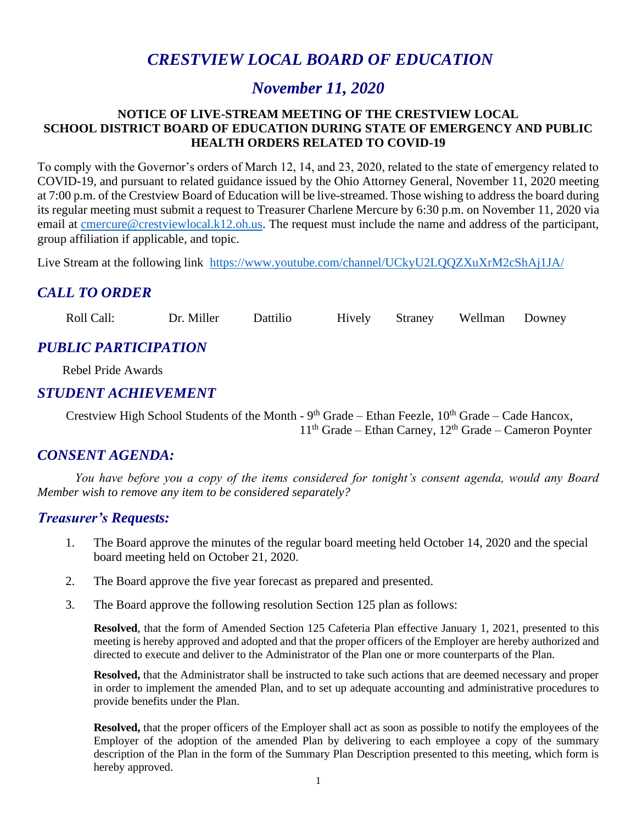# *CRESTVIEW LOCAL BOARD OF EDUCATION*

# *November 11, 2020*

#### **NOTICE OF LIVE-STREAM MEETING OF THE CRESTVIEW LOCAL SCHOOL DISTRICT BOARD OF EDUCATION DURING STATE OF EMERGENCY AND PUBLIC HEALTH ORDERS RELATED TO COVID-19**

To comply with the Governor's orders of March 12, 14, and 23, 2020, related to the state of emergency related to COVID-19, and pursuant to related guidance issued by the Ohio Attorney General, November 11, 2020 meeting at 7:00 p.m. of the Crestview Board of Education will be live-streamed. Those wishing to address the board during its regular meeting must submit a request to Treasurer Charlene Mercure by 6:30 p.m. on November 11, 2020 via email at [cmercure@crestviewlocal.k12.oh.us.](mailto:cmercure@crestviewlocal.k12.oh.us) The request must include the name and address of the participant, group affiliation if applicable, and topic.

Live Stream at the following link <https://www.youtube.com/channel/UCkyU2LQQZXuXrM2cShAj1JA/>

# *CALL TO ORDER*

Roll Call: Dr. Miller Dattilio Hively Straney Wellman Downey

# *PUBLIC PARTICIPATION*

 Rebel Pride Awards j

#### *STUDENT ACHIEVEMENT*

Crestview High School Students of the Month -  $9<sup>th</sup>$  Grade – Ethan Feezle,  $10<sup>th</sup>$  Grade – Cade Hancox,  $11<sup>th</sup>$  Grade – Ethan Carney,  $12<sup>th</sup>$  Grade – Cameron Poynter

# *CONSENT AGENDA:*

*You have before you a copy of the items considered for tonight's consent agenda, would any Board Member wish to remove any item to be considered separately?*

#### *Treasurer's Requests:*

- 1. The Board approve the minutes of the regular board meeting held October 14, 2020 and the special board meeting held on October 21, 2020.
- 2. The Board approve the five year forecast as prepared and presented.
- 3. The Board approve the following resolution Section 125 plan as follows:

**Resolved**, that the form of Amended Section 125 Cafeteria Plan effective January 1, 2021, presented to this meeting is hereby approved and adopted and that the proper officers of the Employer are hereby authorized and directed to execute and deliver to the Administrator of the Plan one or more counterparts of the Plan.

**Resolved,** that the Administrator shall be instructed to take such actions that are deemed necessary and proper in order to implement the amended Plan, and to set up adequate accounting and administrative procedures to provide benefits under the Plan.

**Resolved,** that the proper officers of the Employer shall act as soon as possible to notify the employees of the Employer of the adoption of the amended Plan by delivering to each employee a copy of the summary description of the Plan in the form of the Summary Plan Description presented to this meeting, which form is hereby approved.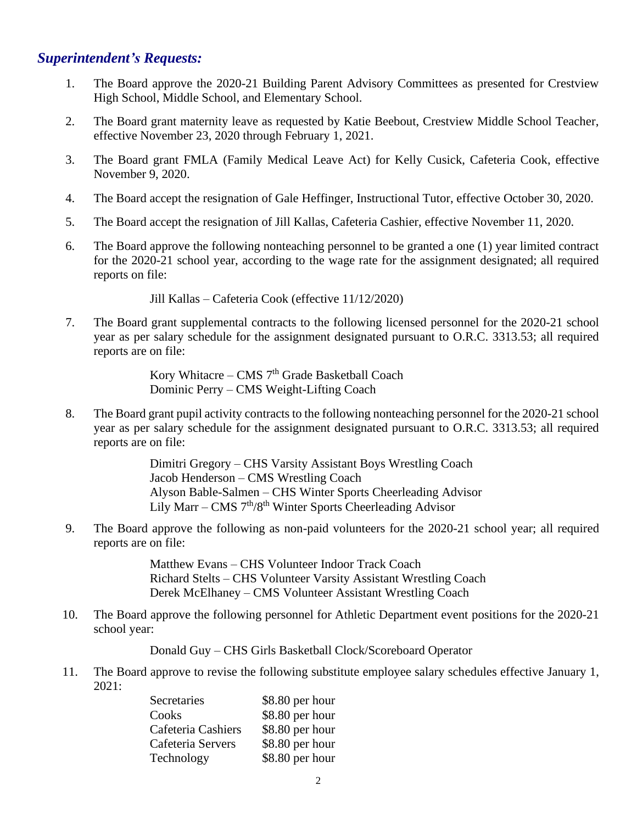### *Superintendent's Requests:*

- 1. The Board approve the 2020-21 Building Parent Advisory Committees as presented for Crestview High School, Middle School, and Elementary School.
- 2. The Board grant maternity leave as requested by Katie Beebout, Crestview Middle School Teacher, effective November 23, 2020 through February 1, 2021.
- 3. The Board grant FMLA (Family Medical Leave Act) for Kelly Cusick, Cafeteria Cook, effective November 9, 2020.
- 4. The Board accept the resignation of Gale Heffinger, Instructional Tutor, effective October 30, 2020.
- 5. The Board accept the resignation of Jill Kallas, Cafeteria Cashier, effective November 11, 2020.
- 6. The Board approve the following nonteaching personnel to be granted a one (1) year limited contract for the 2020-21 school year, according to the wage rate for the assignment designated; all required reports on file:

Jill Kallas – Cafeteria Cook (effective 11/12/2020)

7. The Board grant supplemental contracts to the following licensed personnel for the 2020-21 school year as per salary schedule for the assignment designated pursuant to O.R.C. 3313.53; all required reports are on file:

> Kory Whitacre – CMS  $7<sup>th</sup>$  Grade Basketball Coach Dominic Perry – CMS Weight-Lifting Coach

8. The Board grant pupil activity contracts to the following nonteaching personnel for the 2020-21 school year as per salary schedule for the assignment designated pursuant to O.R.C. 3313.53; all required reports are on file:

> Dimitri Gregory – CHS Varsity Assistant Boys Wrestling Coach Jacob Henderson – CMS Wrestling Coach Alyson Bable-Salmen – CHS Winter Sports Cheerleading Advisor Lily Marr – CMS  $7<sup>th</sup>/8<sup>th</sup>$  Winter Sports Cheerleading Advisor

9. The Board approve the following as non-paid volunteers for the 2020-21 school year; all required reports are on file:

> Matthew Evans – CHS Volunteer Indoor Track Coach Richard Stelts – CHS Volunteer Varsity Assistant Wrestling Coach Derek McElhaney – CMS Volunteer Assistant Wrestling Coach

 10. The Board approve the following personnel for Athletic Department event positions for the 2020-21 school year:

Donald Guy – CHS Girls Basketball Clock/Scoreboard Operator

 11. The Board approve to revise the following substitute employee salary schedules effective January 1, 2021:

| Secretaries        | \$8.80 per hour |
|--------------------|-----------------|
| Cooks              | \$8.80 per hour |
| Cafeteria Cashiers | \$8.80 per hour |
| Cafeteria Servers  | \$8.80 per hour |
| Technology         | \$8.80 per hour |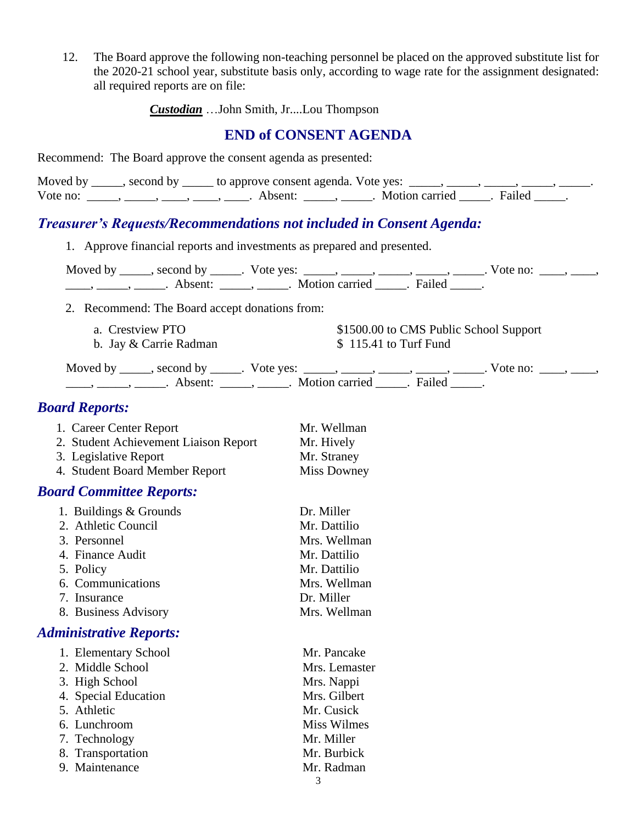12. The Board approve the following non-teaching personnel be placed on the approved substitute list for the 2020-21 school year, substitute basis only, according to wage rate for the assignment designated: all required reports are on file:

*Custodian* …John Smith, Jr....Lou Thompson

#### **END of CONSENT AGENDA**

Recommend: The Board approve the consent agenda as presented:

|          | Moved by _____, second by _____ to approve consent agenda. Vote yes: |                       |  |
|----------|----------------------------------------------------------------------|-----------------------|--|
| Vote no: | Absent:                                                              | Motion carried Failed |  |

#### *Treasurer's Requests/Recommendations not included in Consent Agenda:*

1. Approve financial reports and investments as prepared and presented.

Moved by \_\_\_\_\_, second by \_\_\_\_\_. Vote yes: \_\_\_\_\_, \_\_\_\_\_, \_\_\_\_\_, \_\_\_\_\_, \_\_\_\_. Vote no: \_\_\_\_, \_\_\_\_,  $\underbrace{\hspace{1cm}}$ ,  $\underbrace{\hspace{1cm}}$  Absent:  $\underbrace{\hspace{1cm}}$ , Motion carried  $\underbrace{\hspace{1cm}}$ . Failed  $\underbrace{\hspace{1cm}}$ .

2. Recommend: The Board accept donations from:

a. Crestview PTO  $$1500.00$  to CMS Public School Support b. Jay  $& Carrie$  Radman  $& 115.41$  to Turf Fund

Moved by \_\_\_\_\_, second by \_\_\_\_\_. Vote yes: \_\_\_\_\_, \_\_\_\_\_, \_\_\_\_\_, \_\_\_\_\_, \_\_\_\_\_. Vote no: \_\_\_\_, \_\_\_\_, \_\_\_\_\_, \_\_\_\_\_\_, Absent: \_\_\_\_\_, \_\_\_\_\_. Motion carried \_\_\_\_\_. Failed \_\_\_\_\_.

### *Board Reports:*

| 1. Career Center Report               | Mr. Wellman        |
|---------------------------------------|--------------------|
| 2. Student Achievement Liaison Report | Mr. Hively         |
| 3. Legislative Report                 | Mr. Straney        |
| 4. Student Board Member Report        | <b>Miss Downey</b> |

# *Board Committee Reports:*

| 1. Buildings & Grounds | Dr. Miller   |
|------------------------|--------------|
| 2. Athletic Council    | Mr. Dattilio |
| 3. Personnel           | Mrs. Wellman |
| 4. Finance Audit       | Mr. Dattilio |
| 5. Policy              | Mr. Dattilio |
| 6. Communications      | Mrs. Wellman |
| 7. Insurance           | Dr. Miller   |
| 8. Business Advisory   | Mrs. Wellman |

#### *Administrative Reports:*

| 1. Elementary School | Mr. Pancake        |
|----------------------|--------------------|
| 2. Middle School     | Mrs. Lemaster      |
| 3. High School       | Mrs. Nappi         |
| 4. Special Education | Mrs. Gilbert       |
| 5. Athletic          | Mr. Cusick         |
| 6. Lunchroom         | <b>Miss Wilmes</b> |
| 7. Technology        | Mr. Miller         |
| 8. Transportation    | Mr. Burbick        |
| 9. Maintenance       | Mr. Radman         |
|                      |                    |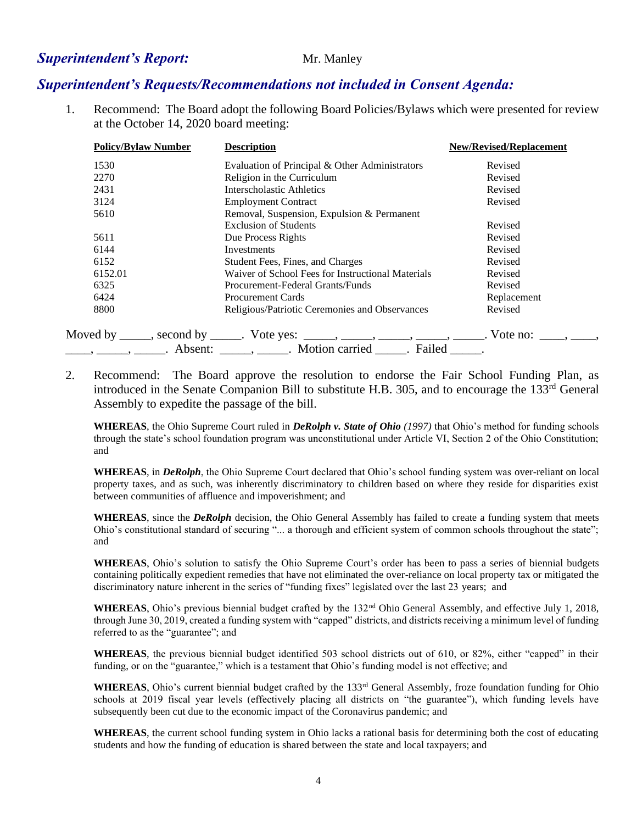#### **Superintendent's Report:** Mr. Manley

#### *Superintendent's Requests/Recommendations not included in Consent Agenda:*

1. Recommend: The Board adopt the following Board Policies/Bylaws which were presented for review at the October 14, 2020 board meeting:

| <b>Policy/Bylaw Number</b> | <b>Description</b>                                                                                                                                                                                                                                                                                                                                                                                                          | <b>New/Revised/Replacement</b> |
|----------------------------|-----------------------------------------------------------------------------------------------------------------------------------------------------------------------------------------------------------------------------------------------------------------------------------------------------------------------------------------------------------------------------------------------------------------------------|--------------------------------|
| 1530                       | Evaluation of Principal & Other Administrators                                                                                                                                                                                                                                                                                                                                                                              | Revised                        |
| 2270                       | Religion in the Curriculum                                                                                                                                                                                                                                                                                                                                                                                                  | Revised                        |
| 2431                       | Interscholastic Athletics                                                                                                                                                                                                                                                                                                                                                                                                   | Revised                        |
| 3124                       | <b>Employment Contract</b>                                                                                                                                                                                                                                                                                                                                                                                                  | Revised                        |
| 5610                       | Removal, Suspension, Expulsion & Permanent                                                                                                                                                                                                                                                                                                                                                                                  |                                |
|                            | <b>Exclusion of Students</b>                                                                                                                                                                                                                                                                                                                                                                                                | Revised                        |
| 5611                       | Due Process Rights                                                                                                                                                                                                                                                                                                                                                                                                          | Revised                        |
| 6144                       | <b>Investments</b>                                                                                                                                                                                                                                                                                                                                                                                                          | Revised                        |
| 6152                       | Student Fees, Fines, and Charges                                                                                                                                                                                                                                                                                                                                                                                            | Revised                        |
| 6152.01                    | Waiver of School Fees for Instructional Materials                                                                                                                                                                                                                                                                                                                                                                           | Revised                        |
| 6325                       | Procurement-Federal Grants/Funds                                                                                                                                                                                                                                                                                                                                                                                            | Revised                        |
| 6424                       | <b>Procurement Cards</b>                                                                                                                                                                                                                                                                                                                                                                                                    | Replacement                    |
| 8800                       | Religious/Patriotic Ceremonies and Observances                                                                                                                                                                                                                                                                                                                                                                              | Revised                        |
|                            | Moved by ______, second by ______. Vote yes: ______, _____, _____, _____, _____. Vote no: _____, _____,                                                                                                                                                                                                                                                                                                                     |                                |
|                            | $\frac{1}{1}, \frac{1}{1}, \frac{1}{1}, \frac{1}{1}, \frac{1}{1}, \frac{1}{1}, \frac{1}{1}, \frac{1}{1}, \frac{1}{1}, \frac{1}{1}, \frac{1}{1}, \frac{1}{1}, \frac{1}{1}, \frac{1}{1}, \frac{1}{1}, \frac{1}{1}, \frac{1}{1}, \frac{1}{1}, \frac{1}{1}, \frac{1}{1}, \frac{1}{1}, \frac{1}{1}, \frac{1}{1}, \frac{1}{1}, \frac{1}{1}, \frac{1}{1}, \frac{1}{1}, \frac{1}{1}, \frac{1}{1}, \frac{1}{1}, \frac{1}{1}, \frac{$ |                                |

2. Recommend: The Board approve the resolution to endorse the Fair School Funding Plan, as introduced in the Senate Companion Bill to substitute H.B. 305, and to encourage the 133<sup>rd</sup> General Assembly to expedite the passage of the bill.

**WHEREAS**, the Ohio Supreme Court ruled in *DeRolph v. State of Ohio (1997)* that Ohio's method for funding schools through the state's school foundation program was unconstitutional under Article VI, Section 2 of the Ohio Constitution; and

**WHEREAS**, in *DeRolph*, the Ohio Supreme Court declared that Ohio's school funding system was over-reliant on local property taxes, and as such, was inherently discriminatory to children based on where they reside for disparities exist between communities of affluence and impoverishment; and

**WHEREAS**, since the *DeRolph* decision, the Ohio General Assembly has failed to create a funding system that meets Ohio's constitutional standard of securing "... a thorough and efficient system of common schools throughout the state"; and

**WHEREAS**, Ohio's solution to satisfy the Ohio Supreme Court's order has been to pass a series of biennial budgets containing politically expedient remedies that have not eliminated the over-reliance on local property tax or mitigated the discriminatory nature inherent in the series of "funding fixes" legislated over the last 23 years; and

WHEREAS, Ohio's previous biennial budget crafted by the 132<sup>nd</sup> Ohio General Assembly, and effective July 1, 2018, through June 30, 2019, created a funding system with "capped" districts, and districts receiving a minimum level of funding referred to as the "guarantee"; and

**WHEREAS**, the previous biennial budget identified 503 school districts out of 610, or 82%, either "capped" in their funding, or on the "guarantee," which is a testament that Ohio's funding model is not effective; and

WHEREAS, Ohio's current biennial budget crafted by the 133<sup>rd</sup> General Assembly, froze foundation funding for Ohio schools at 2019 fiscal year levels (effectively placing all districts on "the guarantee"), which funding levels have subsequently been cut due to the economic impact of the Coronavirus pandemic; and

**WHEREAS**, the current school funding system in Ohio lacks a rational basis for determining both the cost of educating students and how the funding of education is shared between the state and local taxpayers; and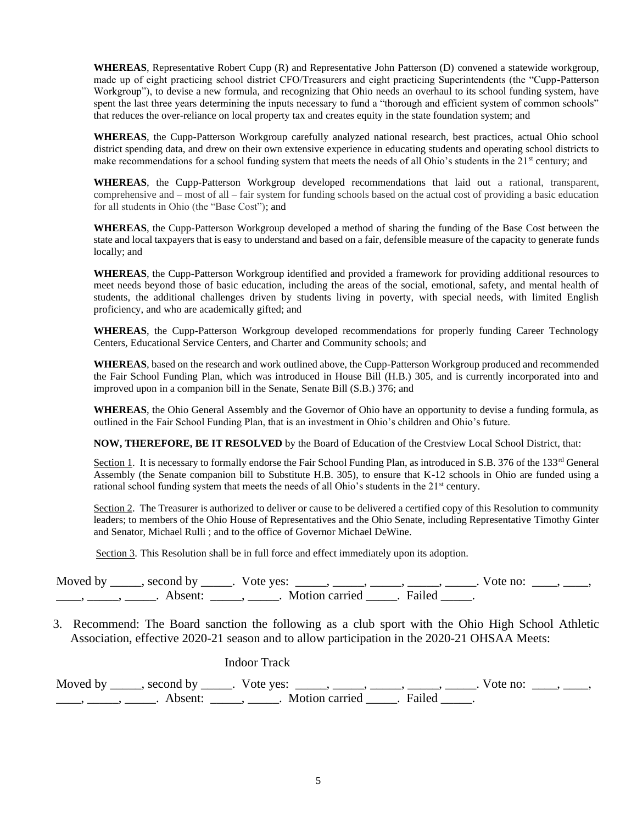**WHEREAS**, Representative Robert Cupp (R) and Representative John Patterson (D) convened a statewide workgroup, made up of eight practicing school district CFO/Treasurers and eight practicing Superintendents (the "Cupp-Patterson Workgroup"), to devise a new formula, and recognizing that Ohio needs an overhaul to its school funding system, have spent the last three years determining the inputs necessary to fund a "thorough and efficient system of common schools" that reduces the over-reliance on local property tax and creates equity in the state foundation system; and

**WHEREAS**, the Cupp-Patterson Workgroup carefully analyzed national research, best practices, actual Ohio school district spending data, and drew on their own extensive experience in educating students and operating school districts to make recommendations for a school funding system that meets the needs of all Ohio's students in the  $21^{st}$  century; and

**WHEREAS**, the Cupp-Patterson Workgroup developed recommendations that laid out a rational, transparent, comprehensive and – most of all – fair system for funding schools based on the actual cost of providing a basic education for all students in Ohio (the "Base Cost"); and

**WHEREAS**, the Cupp-Patterson Workgroup developed a method of sharing the funding of the Base Cost between the state and local taxpayers that is easy to understand and based on a fair, defensible measure of the capacity to generate funds locally; and

**WHEREAS**, the Cupp-Patterson Workgroup identified and provided a framework for providing additional resources to meet needs beyond those of basic education, including the areas of the social, emotional, safety, and mental health of students, the additional challenges driven by students living in poverty, with special needs, with limited English proficiency, and who are academically gifted; and

**WHEREAS**, the Cupp-Patterson Workgroup developed recommendations for properly funding Career Technology Centers, Educational Service Centers, and Charter and Community schools; and

**WHEREAS**, based on the research and work outlined above, the Cupp-Patterson Workgroup produced and recommended the Fair School Funding Plan, which was introduced in House Bill (H.B.) 305, and is currently incorporated into and improved upon in a companion bill in the Senate, Senate Bill (S.B.) 376; and

**WHEREAS**, the Ohio General Assembly and the Governor of Ohio have an opportunity to devise a funding formula, as outlined in the Fair School Funding Plan, that is an investment in Ohio's children and Ohio's future.

**NOW, THEREFORE, BE IT RESOLVED** by the Board of Education of the Crestview Local School District, that:

Section 1. It is necessary to formally endorse the Fair School Funding Plan, as introduced in S.B. 376 of the 133<sup>rd</sup> General Assembly (the Senate companion bill to Substitute H.B. 305), to ensure that K-12 schools in Ohio are funded using a rational school funding system that meets the needs of all Ohio's students in the 21<sup>st</sup> century.

Section 2. The Treasurer is authorized to deliver or cause to be delivered a certified copy of this Resolution to community leaders; to members of the Ohio House of Representatives and the Ohio Senate, including Representative Timothy Ginter and Senator, Michael Rulli ; and to the office of Governor Michael DeWine.

Section 3. This Resolution shall be in full force and effect immediately upon its adoption.

| Moved by | second by | Vote yes:      | vote no. |  |
|----------|-----------|----------------|----------|--|
|          | Absent:   | Motion carried | Failed   |  |

 3. Recommend: The Board sanction the following as a club sport with the Ohio High School Athletic Association, effective 2020-21 season and to allow participation in the 2020-21 OHSAA Meets:

| <b>Indoor Track</b>                                   |                                                                                                    |
|-------------------------------------------------------|----------------------------------------------------------------------------------------------------|
|                                                       | Moved by _____, second by _____. Vote yes: _____, _____, _____, _____, _____. Vote no: ____, ____, |
| Absent: ______, ______. Motion carried ______. Failed |                                                                                                    |